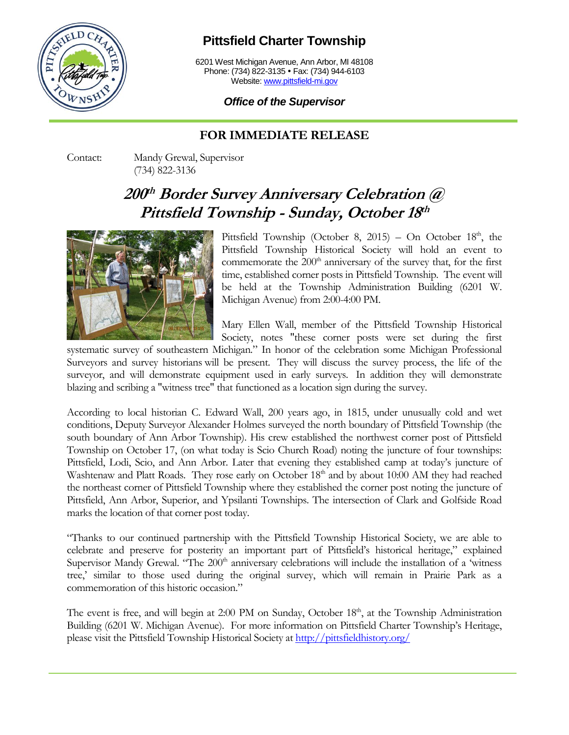

## **Pittsfield Charter Township**

6201 West Michigan Avenue, Ann Arbor, MI 48108 Phone: (734) 822-3135 • Fax: (734) 944-6103 Website[: www.pittsfield-mi.gov](http://www.pittsfield-mi.gov/)

## *Office of the Supervisor*

## **FOR IMMEDIATE RELEASE**

Contact: Mandy Grewal, Supervisor (734) 822-3136

## **200 th Border Survey Anniversary Celebration @ Pittsfield Township - Sunday, October 18 th**



Pittsfield Township (October 8, 2015) – On October  $18<sup>th</sup>$ , the Pittsfield Township Historical Society will hold an event to commemorate the  $200<sup>th</sup>$  anniversary of the survey that, for the first time, established corner posts in Pittsfield Township. The event will be held at the Township Administration Building (6201 W. Michigan Avenue) from 2:00-4:00 PM.

Mary Ellen Wall, member of the Pittsfield Township Historical Society, notes "these corner posts were set during the first

systematic survey of southeastern Michigan." In honor of the celebration some Michigan Professional Surveyors and survey historians will be present. They will discuss the survey process, the life of the surveyor, and will demonstrate equipment used in early surveys. In addition they will demonstrate blazing and scribing a "witness tree" that functioned as a location sign during the survey.

According to local historian C. Edward Wall, 200 years ago, in 1815, under unusually cold and wet conditions, Deputy Surveyor Alexander Holmes surveyed the north boundary of Pittsfield Township (the south boundary of Ann Arbor Township). His crew established the northwest corner post of Pittsfield Township on October 17, (on what today is Scio Church Road) noting the juncture of four townships: Pittsfield, Lodi, Scio, and Ann Arbor. Later that evening they established camp at today's juncture of Washtenaw and Platt Roads. They rose early on October 18<sup>th</sup> and by about 10:00 AM they had reached the northeast corner of Pittsfield Township where they established the corner post noting the juncture of Pittsfield, Ann Arbor, Superior, and Ypsilanti Townships. The intersection of Clark and Golfside Road marks the location of that corner post today.

"Thanks to our continued partnership with the Pittsfield Township Historical Society, we are able to celebrate and preserve for posterity an important part of Pittsfield's historical heritage," explained Supervisor Mandy Grewal. "The 200<sup>th</sup> anniversary celebrations will include the installation of a 'witness' tree,' similar to those used during the original survey, which will remain in Prairie Park as a commemoration of this historic occasion."

The event is free, and will begin at 2:00 PM on Sunday, October 18<sup>th</sup>, at the Township Administration Building (6201 W. Michigan Avenue). For more information on Pittsfield Charter Township's Heritage, please visit the Pittsfield Township Historical Society at<http://pittsfieldhistory.org/>